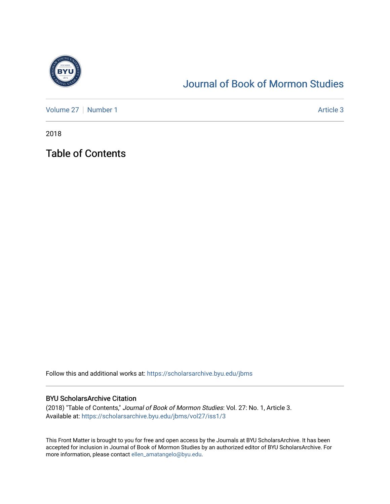

## [Journal of Book of Mormon Studies](https://scholarsarchive.byu.edu/jbms)

[Volume 27](https://scholarsarchive.byu.edu/jbms/vol27) | [Number 1](https://scholarsarchive.byu.edu/jbms/vol27/iss1) Article 3

2018

Table of Contents

Follow this and additional works at: [https://scholarsarchive.byu.edu/jbms](https://scholarsarchive.byu.edu/jbms?utm_source=scholarsarchive.byu.edu%2Fjbms%2Fvol27%2Fiss1%2F3&utm_medium=PDF&utm_campaign=PDFCoverPages) 

## BYU ScholarsArchive Citation

(2018) "Table of Contents," Journal of Book of Mormon Studies: Vol. 27: No. 1, Article 3. Available at: [https://scholarsarchive.byu.edu/jbms/vol27/iss1/3](https://scholarsarchive.byu.edu/jbms/vol27/iss1/3?utm_source=scholarsarchive.byu.edu%2Fjbms%2Fvol27%2Fiss1%2F3&utm_medium=PDF&utm_campaign=PDFCoverPages) 

This Front Matter is brought to you for free and open access by the Journals at BYU ScholarsArchive. It has been accepted for inclusion in Journal of Book of Mormon Studies by an authorized editor of BYU ScholarsArchive. For more information, please contact [ellen\\_amatangelo@byu.edu.](mailto:ellen_amatangelo@byu.edu)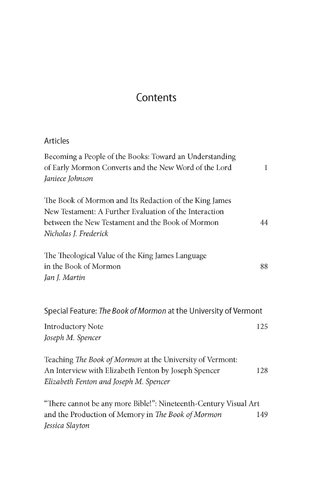## **Contents**

## Articles

| Becoming a People of the Books: Toward an Understanding<br>of Early Mormon Converts and the New Word of the Lord<br>Janiece Johnson                                                           | 1   |
|-----------------------------------------------------------------------------------------------------------------------------------------------------------------------------------------------|-----|
| The Book of Mormon and Its Redaction of the King James<br>New Testament: A Further Evaluation of the Interaction<br>between the New Testament and the Book of Mormon<br>Nicholas J. Frederick | 44  |
| The Theological Value of the King James Language<br>in the Book of Mormon<br>Jan J. Martin                                                                                                    | 88  |
| Special Feature: The Book of Mormon at the University of Vermont                                                                                                                              |     |
| <b>Introductory Note</b><br>Joseph M. Spencer                                                                                                                                                 | 125 |
| Teaching The Book of Mormon at the University of Vermont:<br>An Interview with Elizabeth Fenton by Joseph Spencer<br>Elizabeth Fenton and Joseph M. Spencer                                   | 128 |
| "There cannot be any more Bible!": Nineteenth-Century Visual Art<br>and the Production of Memory in The Book of Mormon<br>Jessica Slayton                                                     | 149 |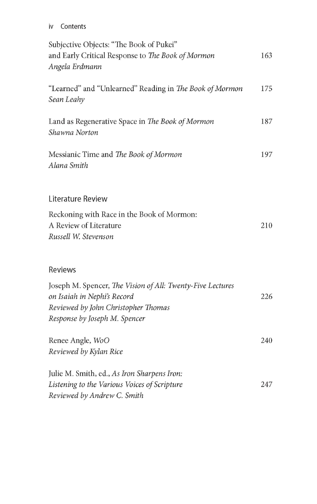iv Contents

| Subjective Objects: "The Book of Pukei"<br>and Early Critical Response to The Book of Mormon<br>Angela Erdmann                                                    | 163 |
|-------------------------------------------------------------------------------------------------------------------------------------------------------------------|-----|
| "Learned" and "Unlearned" Reading in The Book of Mormon<br>Sean Leahy                                                                                             | 175 |
| Land as Regenerative Space in The Book of Mormon<br>Shawna Norton                                                                                                 | 187 |
| Messianic Time and The Book of Mormon<br>Alana Smith                                                                                                              | 197 |
| Literature Review                                                                                                                                                 |     |
| Reckoning with Race in the Book of Mormon:<br>A Review of Literature<br>Russell W. Stevenson                                                                      | 210 |
| Reviews                                                                                                                                                           |     |
| Joseph M. Spencer, The Vision of All: Twenty-Five Lectures<br>on Isaiah in Nephi's Record<br>Reviewed by John Christopher Thomas<br>Response by Joseph M. Spencer | 226 |
| Renee Angle, WoO<br>Reviewed by Kylan Rice                                                                                                                        | 240 |
| Julie M. Smith, ed., As Iron Sharpens Iron:<br>Listening to the Various Voices of Scripture<br>Reviewed by Andrew C. Smith                                        | 247 |